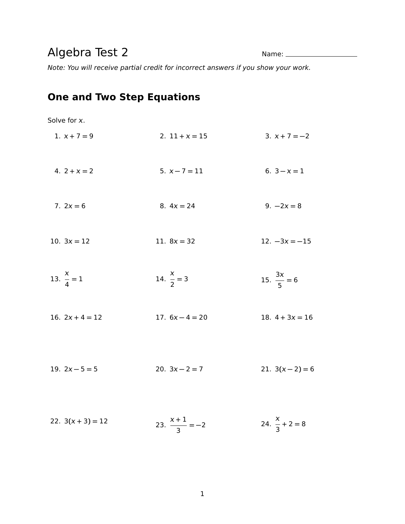## Algebra Test 2 Name:

Note: You will receive partial credit for incorrect answers if you show your work.

## **One and Two Step Equations**

| Solve for x.          |                          |                           |
|-----------------------|--------------------------|---------------------------|
| 1. $x + 7 = 9$        | 2. $11 + x = 15$         | $3. x + 7 = -2$           |
| 4. $2 + x = 2$        | $5. x - 7 = 11$          | 6. $3 - x = 1$            |
| 7. $2x = 6$           | 8. $4x = 24$             | 9. $-2x = 8$              |
| 10. $3x = 12$         | 11. $8x = 32$            | $12. -3x = -15$           |
| 13. $\frac{x}{4} = 1$ | 14. $\frac{x}{2} = 3$    | 15. $\frac{3x}{5} = 6$    |
| 16. $2x + 4 = 12$     | 17. $6x - 4 = 20$        | 18. $4 + 3x = 16$         |
| 19. $2x - 5 = 5$      | 20. $3x - 2 = 7$         | 21. $3(x-2) = 6$          |
| 22. $3(x + 3) = 12$   | 23. $\frac{x+1}{3} = -2$ | 24. $\frac{x}{3} + 2 = 8$ |